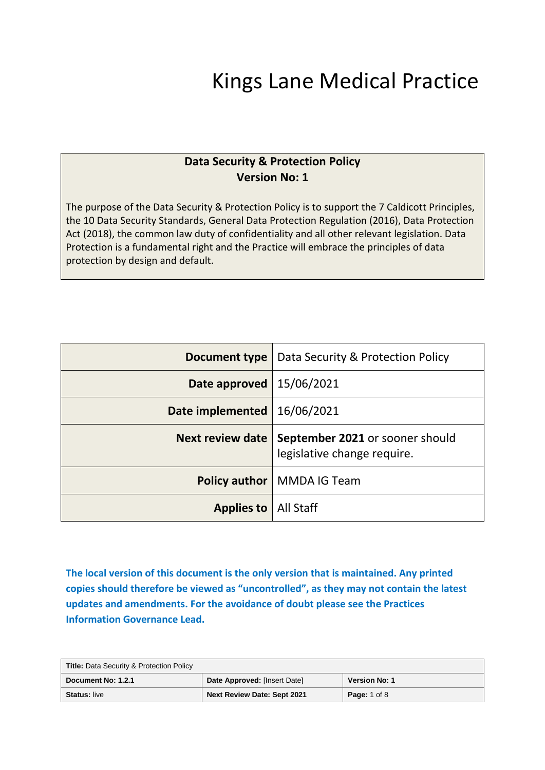# Kings Lane Medical Practice

# **Data Security & Protection Policy Version No: 1**

The purpose of the Data Security & Protection Policy is to support the 7 Caldicott Principles, the 10 Data Security Standards, General Data Protection Regulation (2016), Data Protection Act (2018), the common law duty of confidentiality and all other relevant legislation. Data Protection is a fundamental right and the Practice will embrace the principles of data protection by design and default.

| Document type           | Data Security & Protection Policy                              |
|-------------------------|----------------------------------------------------------------|
| Date approved           | 15/06/2021                                                     |
| Date implemented        | 16/06/2021                                                     |
| <b>Next review date</b> | September 2021 or sooner should<br>legislative change require. |
|                         | <b>Policy author</b>   MMDA IG Team                            |
| <b>Applies to</b>       | All Staff                                                      |

**The local version of this document is the only version that is maintained. Any printed copies should therefore be viewed as "uncontrolled", as they may not contain the latest updates and amendments. For the avoidance of doubt please see the Practices Information Governance Lead.**

| <b>Title: Data Security &amp; Protection Policy</b> |                                    |                      |
|-----------------------------------------------------|------------------------------------|----------------------|
| Document No: 1.2.1                                  | Date Approved: [Insert Date]       | <b>Version No: 1</b> |
| <b>Status: live</b>                                 | <b>Next Review Date: Sept 2021</b> | <b>Page: 1 of 8</b>  |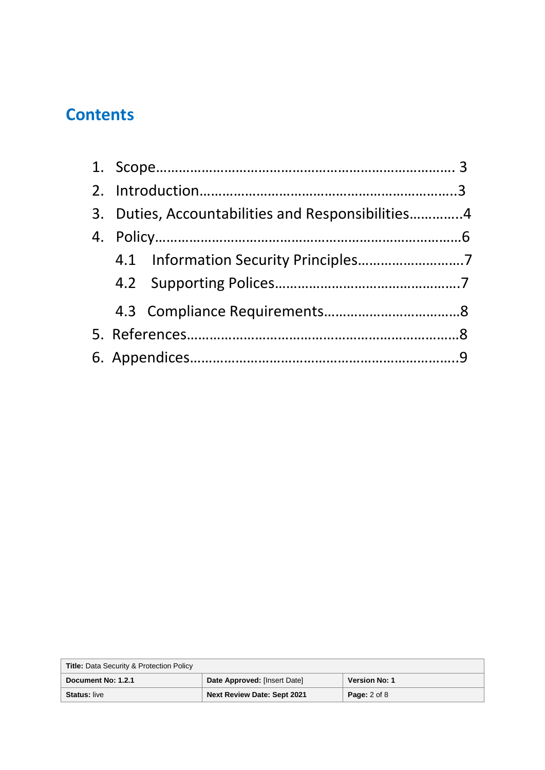# **Contents**

|  | 3. Duties, Accountabilities and Responsibilities4 |  |
|--|---------------------------------------------------|--|
|  |                                                   |  |
|  |                                                   |  |
|  |                                                   |  |
|  |                                                   |  |
|  |                                                   |  |
|  |                                                   |  |

| <b>Title: Data Security &amp; Protection Policy</b> |                                    |                         |
|-----------------------------------------------------|------------------------------------|-------------------------|
| Document No: 1.2.1                                  | Date Approved: [Insert Date]       | <b>Version No: 1</b>    |
| <b>Status: live</b>                                 | <b>Next Review Date: Sept 2021</b> | <b>Page:</b> $2$ of $8$ |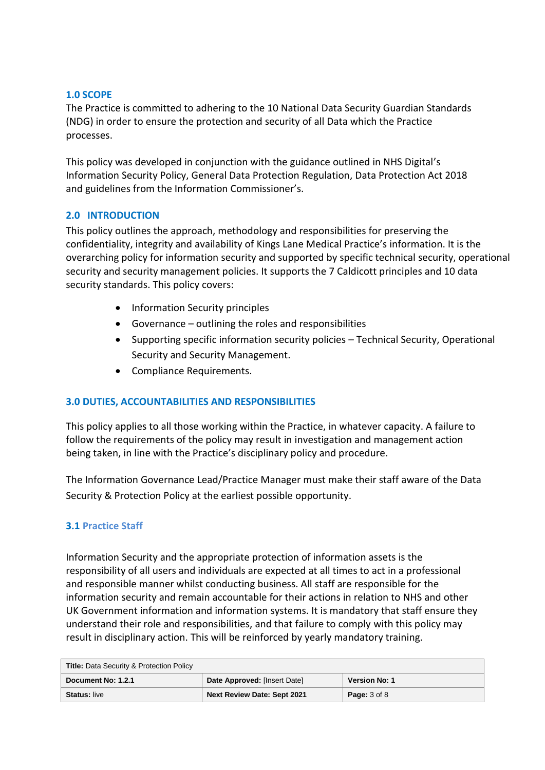#### **1.0 SCOPE**

The Practice is committed to adhering to the 10 National Data Security Guardian Standards (NDG) in order to ensure the protection and security of all Data which the Practice processes.

This policy was developed in conjunction with the guidance outlined in NHS Digital's Information Security Policy, General Data Protection Regulation, Data Protection Act 2018 and guidelines from the Information Commissioner's.

#### **2.0 INTRODUCTION**

This policy outlines the approach, methodology and responsibilities for preserving the confidentiality, integrity and availability of Kings Lane Medical Practice's information. It is the overarching policy for information security and supported by specific technical security, operational security and security management policies. It supports the 7 Caldicott principles and 10 data security standards. This policy covers:

- Information Security principles
- Governance outlining the roles and responsibilities
- Supporting specific information security policies Technical Security, Operational Security and Security Management.
- Compliance Requirements.

#### **3.0 DUTIES, ACCOUNTABILITIES AND RESPONSIBILITIES**

This policy applies to all those working within the Practice, in whatever capacity. A failure to follow the requirements of the policy may result in investigation and management action being taken, in line with the Practice's disciplinary policy and procedure.

The Information Governance Lead/Practice Manager must make their staff aware of the Data Security & Protection Policy at the earliest possible opportunity.

#### **3.1 Practice Staff**

Information Security and the appropriate protection of information assets is the responsibility of all users and individuals are expected at all times to act in a professional and responsible manner whilst conducting business. All staff are responsible for the information security and remain accountable for their actions in relation to NHS and other UK Government information and information systems. It is mandatory that staff ensure they understand their role and responsibilities, and that failure to comply with this policy may result in disciplinary action. This will be reinforced by yearly mandatory training.

| <b>Title: Data Security &amp; Protection Policy</b> |                                    |                      |
|-----------------------------------------------------|------------------------------------|----------------------|
| Document No: 1.2.1                                  | Date Approved: [Insert Date]       | <b>Version No: 1</b> |
| <b>Status: live</b>                                 | <b>Next Review Date: Sept 2021</b> | <b>Page: 3 of 8</b>  |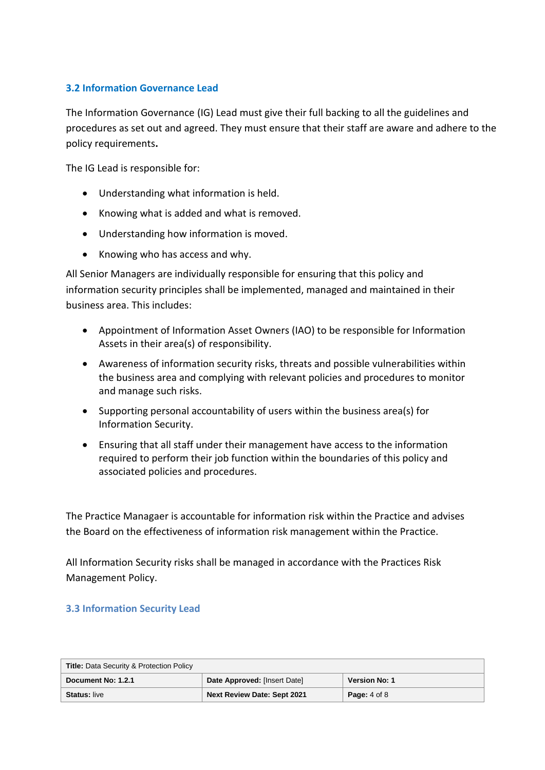#### **3.2 Information Governance Lead**

The Information Governance (IG) Lead must give their full backing to all the guidelines and procedures as set out and agreed. They must ensure that their staff are aware and adhere to the policy requirements**.**

The IG Lead is responsible for:

- Understanding what information is held.
- Knowing what is added and what is removed.
- Understanding how information is moved.
- Knowing who has access and why.

All Senior Managers are individually responsible for ensuring that this policy and information security principles shall be implemented, managed and maintained in their business area. This includes:

- Appointment of Information Asset Owners (IAO) to be responsible for Information Assets in their area(s) of responsibility.
- Awareness of information security risks, threats and possible vulnerabilities within the business area and complying with relevant policies and procedures to monitor and manage such risks.
- Supporting personal accountability of users within the business area(s) for Information Security.
- Ensuring that all staff under their management have access to the information required to perform their job function within the boundaries of this policy and associated policies and procedures.

The Practice Managaer is accountable for information risk within the Practice and advises the Board on the effectiveness of information risk management within the Practice.

All Information Security risks shall be managed in accordance with the Practices Risk Management Policy.

#### **3.3 Information Security Lead**

| <b>Title: Data Security &amp; Protection Policy</b> |                                    |                      |
|-----------------------------------------------------|------------------------------------|----------------------|
| Document No: 1.2.1                                  | Date Approved: [Insert Date]       | <b>Version No: 1</b> |
| <b>Status: live</b>                                 | <b>Next Review Date: Sept 2021</b> | <b>Page:</b> 4 of 8  |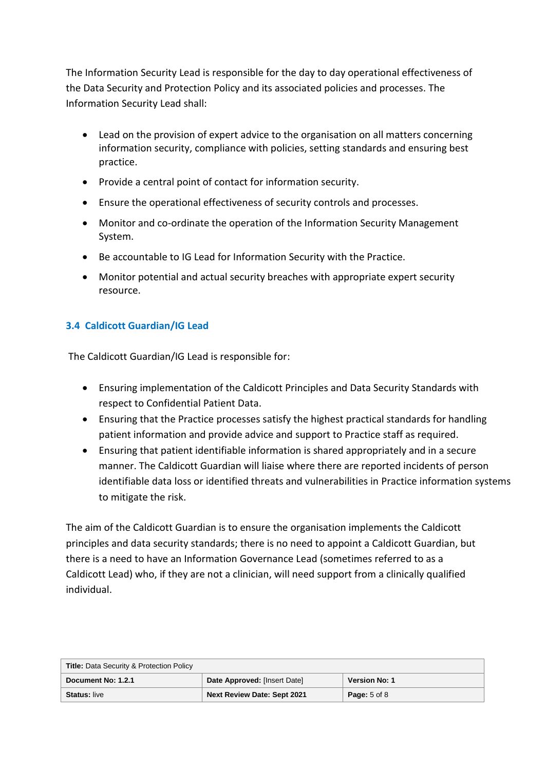The Information Security Lead is responsible for the day to day operational effectiveness of the Data Security and Protection Policy and its associated policies and processes. The Information Security Lead shall:

- Lead on the provision of expert advice to the organisation on all matters concerning information security, compliance with policies, setting standards and ensuring best practice.
- Provide a central point of contact for information security.
- Ensure the operational effectiveness of security controls and processes.
- Monitor and co-ordinate the operation of the Information Security Management System.
- Be accountable to IG Lead for Information Security with the Practice.
- Monitor potential and actual security breaches with appropriate expert security resource.

## **3.4 Caldicott Guardian/IG Lead**

The Caldicott Guardian/IG Lead is responsible for:

- Ensuring implementation of the Caldicott Principles and Data Security Standards with respect to Confidential Patient Data.
- Ensuring that the Practice processes satisfy the highest practical standards for handling patient information and provide advice and support to Practice staff as required.
- Ensuring that patient identifiable information is shared appropriately and in a secure manner. The Caldicott Guardian will liaise where there are reported incidents of person identifiable data loss or identified threats and vulnerabilities in Practice information systems to mitigate the risk.

The aim of the Caldicott Guardian is to ensure the organisation implements the Caldicott principles and data security standards; there is no need to appoint a Caldicott Guardian, but there is a need to have an Information Governance Lead (sometimes referred to as a Caldicott Lead) who, if they are not a clinician, will need support from a clinically qualified individual.

| <b>Title: Data Security &amp; Protection Policy</b> |                                    |                         |
|-----------------------------------------------------|------------------------------------|-------------------------|
| Document No: 1.2.1                                  | Date Approved: [Insert Date]       | <b>Version No: 1</b>    |
| <b>Status: live</b>                                 | <b>Next Review Date: Sept 2021</b> | <b>Page:</b> $5$ of $8$ |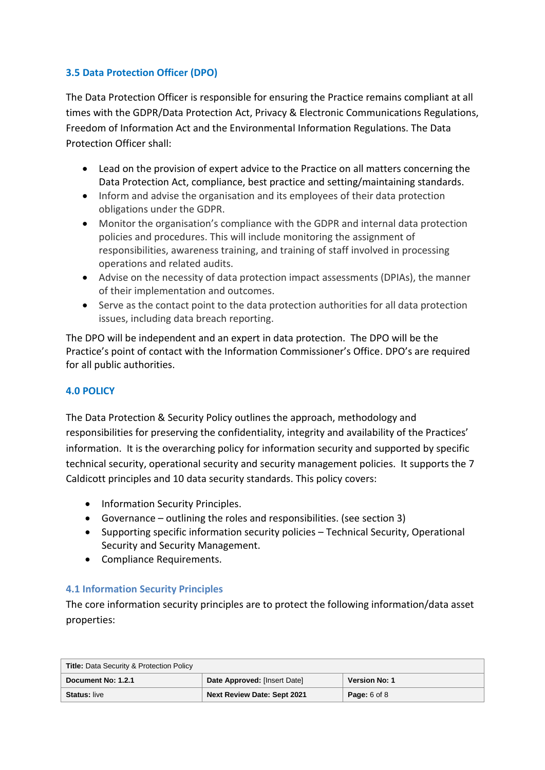## **3.5 Data Protection Officer (DPO)**

The Data Protection Officer is responsible for ensuring the Practice remains compliant at all times with the GDPR/Data Protection Act, Privacy & Electronic Communications Regulations, Freedom of Information Act and the Environmental Information Regulations. The Data Protection Officer shall:

- Lead on the provision of expert advice to the Practice on all matters concerning the Data Protection Act, compliance, best practice and setting/maintaining standards.
- Inform and advise the organisation and its employees of their data protection obligations under the GDPR.
- Monitor the organisation's compliance with the GDPR and internal data protection policies and procedures. This will include monitoring the assignment of responsibilities, awareness training, and training of staff involved in processing operations and related audits.
- Advise on the necessity of data protection impact assessments (DPIAs), the manner of their implementation and outcomes.
- Serve as the contact point to the data protection authorities for all data protection issues, including data breach reporting.

The DPO will be independent and an expert in data protection. The DPO will be the Practice's point of contact with the Information Commissioner's Office. DPO's are required for all public authorities.

#### **4.0 POLICY**

The Data Protection & Security Policy outlines the approach, methodology and responsibilities for preserving the confidentiality, integrity and availability of the Practices' information. It is the overarching policy for information security and supported by specific technical security, operational security and security management policies. It supports the 7 Caldicott principles and 10 data security standards. This policy covers:

- Information Security Principles.
- Governance outlining the roles and responsibilities. (see section 3)
- Supporting specific information security policies Technical Security, Operational Security and Security Management.
- Compliance Requirements.

# **4.1 Information Security Principles**

The core information security principles are to protect the following information/data asset properties:

| <b>Title: Data Security &amp; Protection Policy</b> |                              |                         |
|-----------------------------------------------------|------------------------------|-------------------------|
| Document No: 1.2.1                                  | Date Approved: [Insert Date] | <b>Version No: 1</b>    |
| <b>Status: live</b>                                 | Next Review Date: Sept 2021  | <b>Page:</b> $6$ of $8$ |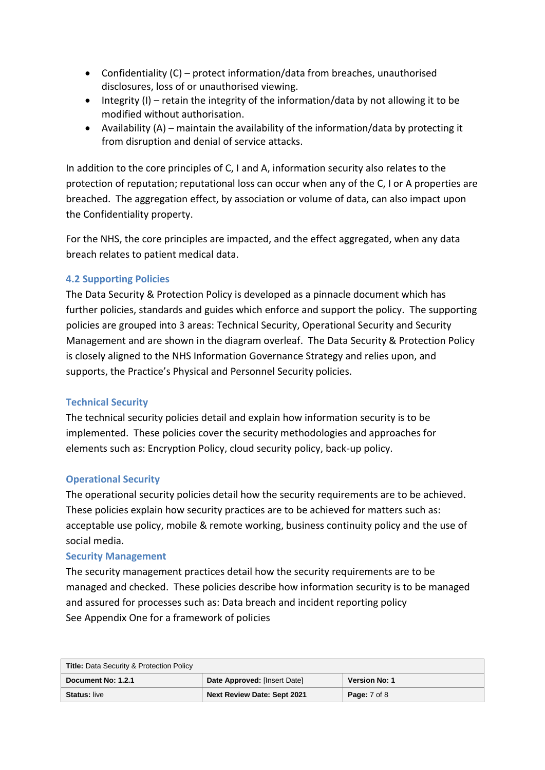- Confidentiality (C) protect information/data from breaches, unauthorised disclosures, loss of or unauthorised viewing.
- $\bullet$  Integrity (I) retain the integrity of the information/data by not allowing it to be modified without authorisation.
- Availability  $(A)$  maintain the availability of the information/data by protecting it from disruption and denial of service attacks.

In addition to the core principles of C, I and A, information security also relates to the protection of reputation; reputational loss can occur when any of the C, I or A properties are breached. The aggregation effect, by association or volume of data, can also impact upon the Confidentiality property.

For the NHS, the core principles are impacted, and the effect aggregated, when any data breach relates to patient medical data.

## **4.2 Supporting Policies**

The Data Security & Protection Policy is developed as a pinnacle document which has further policies, standards and guides which enforce and support the policy. The supporting policies are grouped into 3 areas: Technical Security, Operational Security and Security Management and are shown in the diagram overleaf. The Data Security & Protection Policy is closely aligned to the NHS Information Governance Strategy and relies upon, and supports, the Practice's Physical and Personnel Security policies.

#### **Technical Security**

The technical security policies detail and explain how information security is to be implemented. These policies cover the security methodologies and approaches for elements such as: Encryption Policy, cloud security policy, back-up policy.

#### **Operational Security**

The operational security policies detail how the security requirements are to be achieved. These policies explain how security practices are to be achieved for matters such as: acceptable use policy, mobile & remote working, business continuity policy and the use of social media.

#### **Security Management**

The security management practices detail how the security requirements are to be managed and checked. These policies describe how information security is to be managed and assured for processes such as: Data breach and incident reporting policy See Appendix One for a framework of policies

| <b>Title: Data Security &amp; Protection Policy</b> |                                    |                      |
|-----------------------------------------------------|------------------------------------|----------------------|
| Document No. 1.2.1                                  | Date Approved: [Insert Date]       | <b>Version No: 1</b> |
| <b>Status: live</b>                                 | <b>Next Review Date: Sept 2021</b> | <b>Page:</b> 7 of 8  |